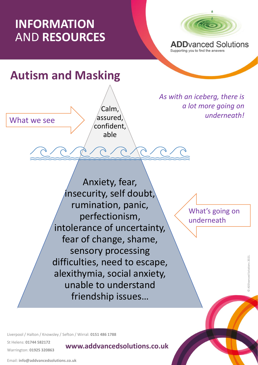## **INFORMATION** AND **RESOURCES**



**ADD**vanced Solutions Supporting you to find the answers

## **Autism and Masking**

What we see

Calm, assured, confident, able

*As with an iceberg, there is a lot more going on underneath!*

exithymia, social anxiet<br>unable to understand Anxiety, fear, insecurity, self doubt, rumination, panic, perfectionism, intolerance of uncertainty, fear of change, shame, sensory processing difficulties, need to escape, alexithymia, social anxiety, friendship issues…

What's going on underneath

Liverpool / Halton / Knowsley / Sefton / Wirral: **0151 486 1788**

St Helens: **01744 582172** 

Warrington: **01925 320863**

**www.addvancedsolutions.co.uk**

Email: **info@addvancedsolutions.co.uk**